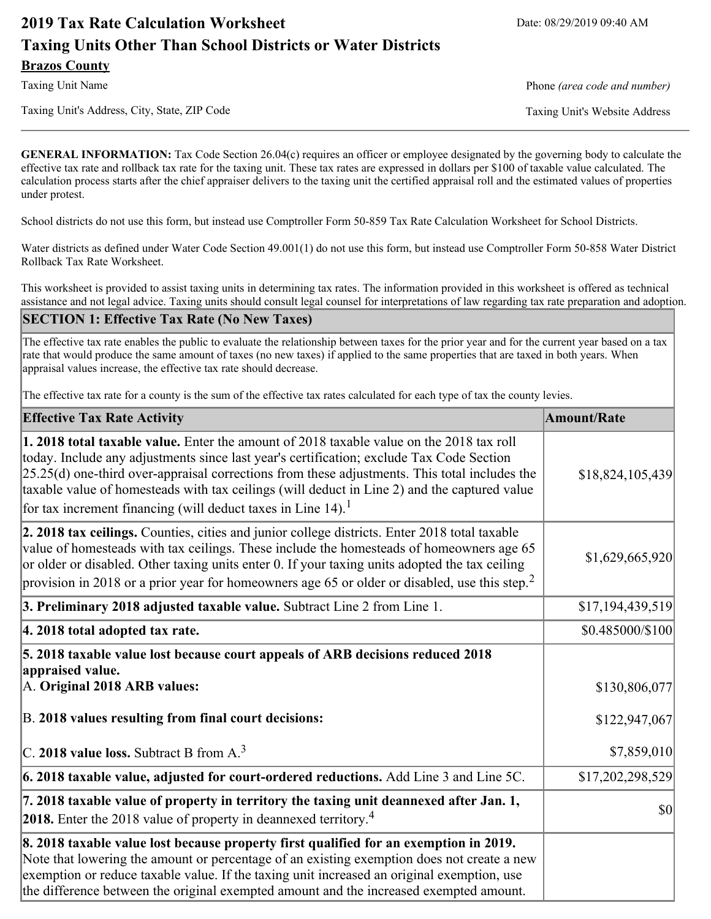# **2019 Tax Rate Calculation Worksheet** Date: 08/29/2019 09:40 AM **Taxing Units Other Than School Districts or Water Districts Brazos County**

Taxing Unit's Address, City, State, ZIP Code Taxing Unit's Website Address

Taxing Unit Name **Phone** *(area code and number)* Phone *(area code and number)* 

**GENERAL INFORMATION:** Tax Code Section 26.04(c) requires an officer or employee designated by the governing body to calculate the effective tax rate and rollback tax rate for the taxing unit. These tax rates are expressed in dollars per \$100 of taxable value calculated. The calculation process starts after the chief appraiser delivers to the taxing unit the certified appraisal roll and the estimated values of properties under protest.

School districts do not use this form, but instead use Comptroller Form 50-859 Tax Rate Calculation Worksheet for School Districts.

Water districts as defined under Water Code Section 49.001(1) do not use this form, but instead use Comptroller Form 50-858 Water District Rollback Tax Rate Worksheet.

This worksheet is provided to assist taxing units in determining tax rates. The information provided in this worksheet is offered as technical assistance and not legal advice. Taxing units should consult legal counsel for interpretations of law regarding tax rate preparation and adoption.

#### **SECTION 1: Effective Tax Rate (No New Taxes)**

The effective tax rate enables the public to evaluate the relationship between taxes for the prior year and for the current year based on a tax rate that would produce the same amount of taxes (no new taxes) if applied to the same properties that are taxed in both years. When appraisal values increase, the effective tax rate should decrease.

The effective tax rate for a county is the sum of the effective tax rates calculated for each type of tax the county levies.

| <b>Effective Tax Rate Activity</b>                                                                                                                                                                                                                                                                                                                                                                                                                                             | <b>Amount/Rate</b> |
|--------------------------------------------------------------------------------------------------------------------------------------------------------------------------------------------------------------------------------------------------------------------------------------------------------------------------------------------------------------------------------------------------------------------------------------------------------------------------------|--------------------|
| <b>1. 2018 total taxable value.</b> Enter the amount of 2018 taxable value on the 2018 tax roll<br>today. Include any adjustments since last year's certification; exclude Tax Code Section<br>$[25.25(d)$ one-third over-appraisal corrections from these adjustments. This total includes the<br>taxable value of homesteads with tax ceilings (will deduct in Line 2) and the captured value<br>for tax increment financing (will deduct taxes in Line $14$ ). <sup>1</sup> | \$18,824,105,439   |
| 2. 2018 tax ceilings. Counties, cities and junior college districts. Enter 2018 total taxable<br>value of homesteads with tax ceilings. These include the homesteads of homeowners age 65<br>or older or disabled. Other taxing units enter 0. If your taxing units adopted the tax ceiling<br>provision in 2018 or a prior year for homeowners age 65 or older or disabled, use this step. <sup>2</sup>                                                                       | \$1,629,665,920    |
| 3. Preliminary 2018 adjusted taxable value. Subtract Line 2 from Line 1.                                                                                                                                                                                                                                                                                                                                                                                                       | \$17,194,439,519   |
| 4. 2018 total adopted tax rate.                                                                                                                                                                                                                                                                                                                                                                                                                                                | \$0.485000/\$100   |
| 5. 2018 taxable value lost because court appeals of ARB decisions reduced 2018<br>appraised value.<br>A. Original 2018 ARB values:                                                                                                                                                                                                                                                                                                                                             | \$130,806,077      |
| B. 2018 values resulting from final court decisions:                                                                                                                                                                                                                                                                                                                                                                                                                           | \$122,947,067      |
| C. 2018 value loss. Subtract B from $A3$                                                                                                                                                                                                                                                                                                                                                                                                                                       | \$7,859,010        |
| 6. 2018 taxable value, adjusted for court-ordered reductions. Add Line 3 and Line 5C.                                                                                                                                                                                                                                                                                                                                                                                          | \$17,202,298,529   |
| 7. 2018 taxable value of property in territory the taxing unit deannexed after Jan. 1,<br><b>2018.</b> Enter the 2018 value of property in deannexed territory. <sup>4</sup>                                                                                                                                                                                                                                                                                                   | <b>\$0</b>         |
| 8. 2018 taxable value lost because property first qualified for an exemption in 2019.<br>Note that lowering the amount or percentage of an existing exemption does not create a new<br>exemption or reduce taxable value. If the taxing unit increased an original exemption, use<br>the difference between the original exempted amount and the increased exempted amount.                                                                                                    |                    |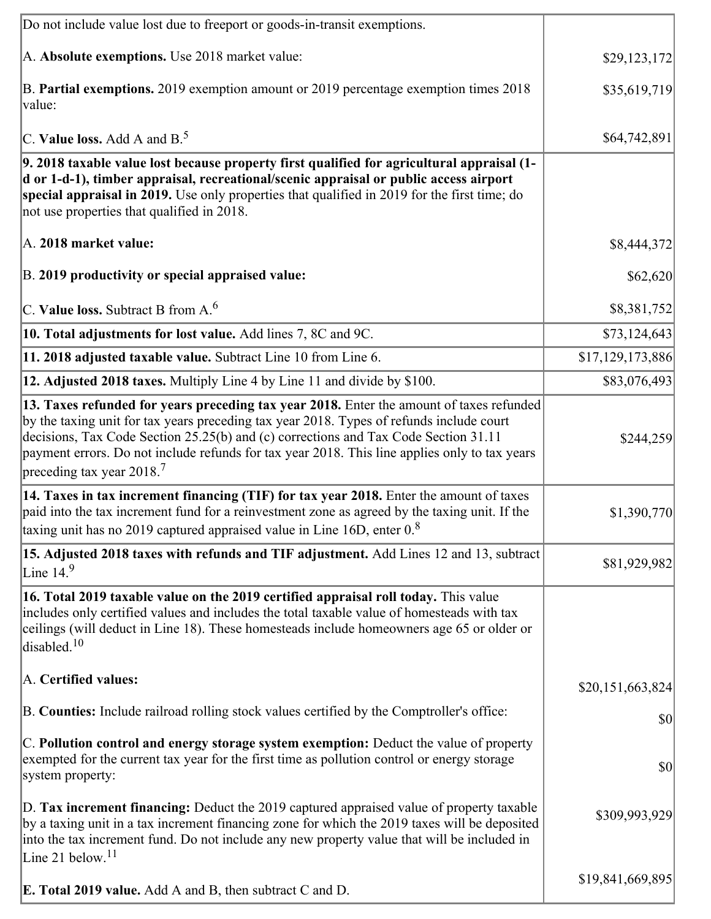| Do not include value lost due to freeport or goods-in-transit exemptions.                                                                                                                                                                                                                                                                                                                                              |                  |
|------------------------------------------------------------------------------------------------------------------------------------------------------------------------------------------------------------------------------------------------------------------------------------------------------------------------------------------------------------------------------------------------------------------------|------------------|
| A. Absolute exemptions. Use 2018 market value:                                                                                                                                                                                                                                                                                                                                                                         | \$29,123,172     |
| B. Partial exemptions. 2019 exemption amount or 2019 percentage exemption times 2018<br>value:                                                                                                                                                                                                                                                                                                                         | \$35,619,719     |
| C. Value loss. Add A and $B^5$ .                                                                                                                                                                                                                                                                                                                                                                                       | \$64,742,891     |
| 9. 2018 taxable value lost because property first qualified for agricultural appraisal (1-<br>d or 1-d-1), timber appraisal, recreational/scenic appraisal or public access airport<br>special appraisal in 2019. Use only properties that qualified in 2019 for the first time; do<br>not use properties that qualified in 2018.                                                                                      |                  |
| A. 2018 market value:                                                                                                                                                                                                                                                                                                                                                                                                  | \$8,444,372      |
| B. 2019 productivity or special appraised value:                                                                                                                                                                                                                                                                                                                                                                       | \$62,620         |
| C. Value loss. Subtract B from $A6$                                                                                                                                                                                                                                                                                                                                                                                    | \$8,381,752      |
| 10. Total adjustments for lost value. Add lines 7, 8C and 9C.                                                                                                                                                                                                                                                                                                                                                          | \$73,124,643     |
| 11. 2018 adjusted taxable value. Subtract Line 10 from Line 6.                                                                                                                                                                                                                                                                                                                                                         | \$17,129,173,886 |
| 12. Adjusted 2018 taxes. Multiply Line 4 by Line 11 and divide by \$100.                                                                                                                                                                                                                                                                                                                                               | \$83,076,493     |
| 13. Taxes refunded for years preceding tax year 2018. Enter the amount of taxes refunded<br>by the taxing unit for tax years preceding tax year 2018. Types of refunds include court<br>decisions, Tax Code Section 25.25(b) and (c) corrections and Tax Code Section 31.11<br>payment errors. Do not include refunds for tax year 2018. This line applies only to tax years<br>preceding tax year $2018$ <sup>7</sup> | \$244,259        |
| 14. Taxes in tax increment financing (TIF) for tax year 2018. Enter the amount of taxes<br>paid into the tax increment fund for a reinvestment zone as agreed by the taxing unit. If the<br>taxing unit has no 2019 captured appraised value in Line 16D, enter $08$                                                                                                                                                   | \$1,390,770      |
| [15. Adjusted 2018 taxes with refunds and TIF adjustment. Add Lines 12 and 13, subtract<br>Line $149$                                                                                                                                                                                                                                                                                                                  | \$81,929,982     |
| 16. Total 2019 taxable value on the 2019 certified appraisal roll today. This value<br>includes only certified values and includes the total taxable value of homesteads with tax<br>ceilings (will deduct in Line 18). These homesteads include homeowners age 65 or older or<br>disabled. $10$                                                                                                                       |                  |
| A. Certified values:                                                                                                                                                                                                                                                                                                                                                                                                   | \$20,151,663,824 |
| B. Counties: Include railroad rolling stock values certified by the Comptroller's office:                                                                                                                                                                                                                                                                                                                              | \$0              |
| C. Pollution control and energy storage system exemption: Deduct the value of property<br>exempted for the current tax year for the first time as pollution control or energy storage<br>system property:                                                                                                                                                                                                              | \$0              |
| D. Tax increment financing: Deduct the 2019 captured appraised value of property taxable<br>by a taxing unit in a tax increment financing zone for which the 2019 taxes will be deposited<br>into the tax increment fund. Do not include any new property value that will be included in<br>Line 21 below. <sup>11</sup>                                                                                               | \$309,993,929    |
| <b>E. Total 2019 value.</b> Add A and B, then subtract C and D.                                                                                                                                                                                                                                                                                                                                                        | \$19,841,669,895 |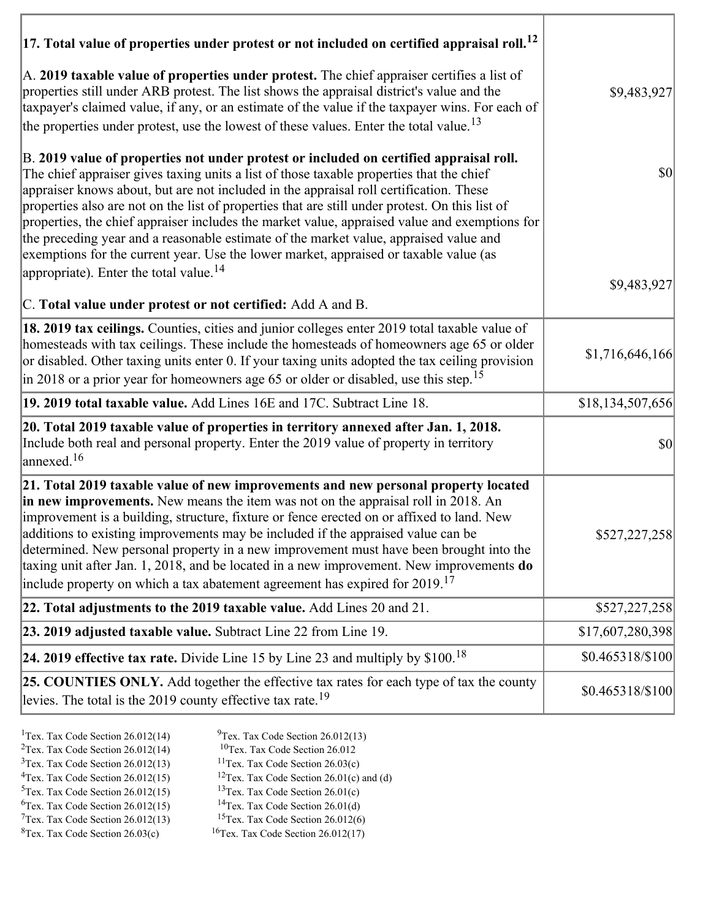| $ 17$ . Total value of properties under protest or not included on certified appraisal roll. <sup>12</sup>                                                                                                                                                                                                                                                                                                                                                                                                                                                                                                                                                         |                   |
|--------------------------------------------------------------------------------------------------------------------------------------------------------------------------------------------------------------------------------------------------------------------------------------------------------------------------------------------------------------------------------------------------------------------------------------------------------------------------------------------------------------------------------------------------------------------------------------------------------------------------------------------------------------------|-------------------|
| A. 2019 taxable value of properties under protest. The chief appraiser certifies a list of<br>properties still under ARB protest. The list shows the appraisal district's value and the<br>taxpayer's claimed value, if any, or an estimate of the value if the taxpayer wins. For each of<br>the properties under protest, use the lowest of these values. Enter the total value. <sup>13</sup>                                                                                                                                                                                                                                                                   | \$9,483,927       |
| B. 2019 value of properties not under protest or included on certified appraisal roll.<br>The chief appraiser gives taxing units a list of those taxable properties that the chief<br>appraiser knows about, but are not included in the appraisal roll certification. These<br>properties also are not on the list of properties that are still under protest. On this list of<br>properties, the chief appraiser includes the market value, appraised value and exemptions for<br>the preceding year and a reasonable estimate of the market value, appraised value and<br>exemptions for the current year. Use the lower market, appraised or taxable value (as | $ 10\rangle$      |
| appropriate). Enter the total value. <sup>14</sup><br>C. Total value under protest or not certified: Add A and B.                                                                                                                                                                                                                                                                                                                                                                                                                                                                                                                                                  | \$9,483,927       |
| 18. 2019 tax ceilings. Counties, cities and junior colleges enter 2019 total taxable value of<br>homesteads with tax ceilings. These include the homesteads of homeowners age 65 or older<br>or disabled. Other taxing units enter 0. If your taxing units adopted the tax ceiling provision<br>$\vert$ in 2018 or a prior year for homeowners age 65 or older or disabled, use this step. <sup>15</sup>                                                                                                                                                                                                                                                           | \$1,716,646,166   |
| 19. 2019 total taxable value. Add Lines 16E and 17C. Subtract Line 18.                                                                                                                                                                                                                                                                                                                                                                                                                                                                                                                                                                                             | \$18,134,507,656  |
| 20. Total 2019 taxable value of properties in territory annexed after Jan. 1, 2018.<br>Include both real and personal property. Enter the 2019 value of property in territory<br>annexed. <sup>16</sup>                                                                                                                                                                                                                                                                                                                                                                                                                                                            | $ 10\rangle$      |
| 21. Total 2019 taxable value of new improvements and new personal property located<br>in new improvements. New means the item was not on the appraisal roll in 2018. An<br>improvement is a building, structure, fixture or fence erected on or affixed to land. New<br>additions to existing improvements may be included if the appraised value can be<br>determined. New personal property in a new improvement must have been brought into the<br>taxing unit after Jan. 1, 2018, and be located in a new improvement. New improvements do<br>include property on which a tax abatement agreement has expired for $2019$ . <sup>17</sup>                       | \$527,227,258     |
| 22. Total adjustments to the 2019 taxable value. Add Lines 20 and 21.                                                                                                                                                                                                                                                                                                                                                                                                                                                                                                                                                                                              | \$527,227,258     |
| 23. 2019 adjusted taxable value. Subtract Line 22 from Line 19.                                                                                                                                                                                                                                                                                                                                                                                                                                                                                                                                                                                                    | \$17,607,280,398  |
| 24. 2019 effective tax rate. Divide Line 15 by Line 23 and multiply by \$100. <sup>18</sup>                                                                                                                                                                                                                                                                                                                                                                                                                                                                                                                                                                        | \$0.465318/\$100  |
| <b>25. COUNTIES ONLY.</b> Add together the effective tax rates for each type of tax the county<br>levies. The total is the 2019 county effective tax rate. <sup>19</sup>                                                                                                                                                                                                                                                                                                                                                                                                                                                                                           | $$0.465318/\$100$ |

- 
- <sup>1</sup>Tex. Tax Code Section 26.012(14) <sup>9</sup>Tex. Tax Code Section 26.012(13) <sup>9</sup>Tex. Tax Code Section 26.012
- <sup>2</sup>Tex. Tax Code Section 26.012(14) <sup>10</sup>Tex. Tax Code Section 26.012<br><sup>3</sup>Tex. Tax Code Section 26.03(c) <sup>11</sup>Tex. Tax Code Section 26.03(c)
	- <sup>12</sup>Tex. Tax Code Section 26.01(c) and (d) <sup>13</sup>Tex. Tax Code Section 26.01(c)
- ${}^{3}$ Tex. Tax Code Section 26.012(13)<br> ${}^{4}$ Tex. Tax Code Section 26.012(15)
- <sup>5</sup>Tex. Tax Code Section 26.012(15) <sup>13</sup>Tex. Tax Code Section 26.01(c)<br><sup>6</sup>Tex. Tax Code Section 26.012(15) <sup>14</sup>Tex. Tax Code Section 26.01(d)
	-
- <sup>6</sup>Tex. Tax Code Section 26.012(15) <sup>14</sup>Tex. Tax Code Section 26.01(d)<br><sup>7</sup>Tex. Tax Code Section 26.012(13) <sup>15</sup>Tex. Tax Code Section 26.012(6)
- $7$ Tex. Tax Code Section 26.012(13)<br><sup>8</sup>Tex. Tax Code Section 26.03(c)
- $16$ Tex. Tax Code Section 26.012(17)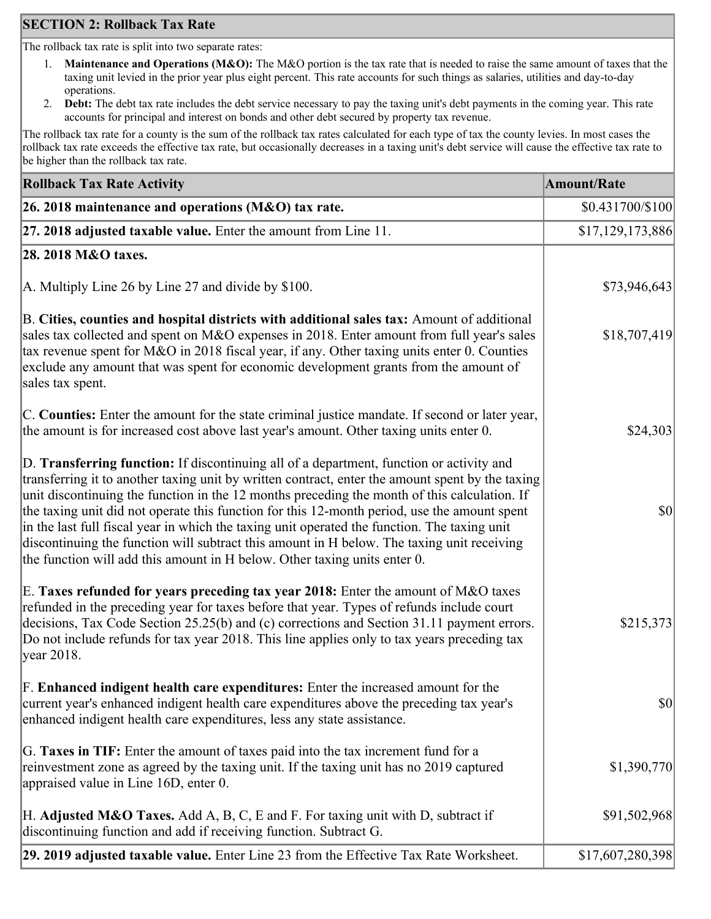## **SECTION 2: Rollback Tax Rate**

The rollback tax rate is split into two separate rates:

- 1. **Maintenance and Operations (M&O):** The M&O portion is the tax rate that is needed to raise the same amount of taxes that the taxing unit levied in the prior year plus eight percent. This rate accounts for such things as salaries, utilities and day-to-day operations.
- 2. **Debt:** The debt tax rate includes the debt service necessary to pay the taxing unit's debt payments in the coming year. This rate accounts for principal and interest on bonds and other debt secured by property tax revenue.

The rollback tax rate for a county is the sum of the rollback tax rates calculated for each type of tax the county levies. In most cases the rollback tax rate exceeds the effective tax rate, but occasionally decreases in a taxing unit's debt service will cause the effective tax rate to be higher than the rollback tax rate.

| <b>Rollback Tax Rate Activity</b>                                                                                                                                                                                                                                                                                                                                                                                                                                                                                                                                                                                                                                       | <b>Amount/Rate</b> |
|-------------------------------------------------------------------------------------------------------------------------------------------------------------------------------------------------------------------------------------------------------------------------------------------------------------------------------------------------------------------------------------------------------------------------------------------------------------------------------------------------------------------------------------------------------------------------------------------------------------------------------------------------------------------------|--------------------|
| 26. 2018 maintenance and operations ( $M&O$ ) tax rate.                                                                                                                                                                                                                                                                                                                                                                                                                                                                                                                                                                                                                 | \$0.431700/\$100   |
| 27. 2018 adjusted taxable value. Enter the amount from Line 11.                                                                                                                                                                                                                                                                                                                                                                                                                                                                                                                                                                                                         | \$17,129,173,886   |
| 28. 2018 M&O taxes.                                                                                                                                                                                                                                                                                                                                                                                                                                                                                                                                                                                                                                                     |                    |
| A. Multiply Line 26 by Line 27 and divide by \$100.                                                                                                                                                                                                                                                                                                                                                                                                                                                                                                                                                                                                                     | \$73,946,643       |
| B. Cities, counties and hospital districts with additional sales tax: Amount of additional<br>sales tax collected and spent on M&O expenses in 2018. Enter amount from full year's sales<br>tax revenue spent for M&O in 2018 fiscal year, if any. Other taxing units enter 0. Counties<br>exclude any amount that was spent for economic development grants from the amount of<br>sales tax spent.                                                                                                                                                                                                                                                                     | \$18,707,419       |
| C. Counties: Enter the amount for the state criminal justice mandate. If second or later year,<br>the amount is for increased cost above last year's amount. Other taxing units enter 0.                                                                                                                                                                                                                                                                                                                                                                                                                                                                                | \$24,303           |
| D. Transferring function: If discontinuing all of a department, function or activity and<br>transferring it to another taxing unit by written contract, enter the amount spent by the taxing<br>unit discontinuing the function in the 12 months preceding the month of this calculation. If<br>the taxing unit did not operate this function for this 12-month period, use the amount spent<br>in the last full fiscal year in which the taxing unit operated the function. The taxing unit<br>discontinuing the function will subtract this amount in H below. The taxing unit receiving<br>the function will add this amount in H below. Other taxing units enter 0. | $ 10\rangle$       |
| E. Taxes refunded for years preceding tax year 2018: Enter the amount of M&O taxes<br>refunded in the preceding year for taxes before that year. Types of refunds include court<br>decisions, Tax Code Section 25.25(b) and (c) corrections and Section 31.11 payment errors.<br>Do not include refunds for tax year 2018. This line applies only to tax years preceding tax<br> year 2018.                                                                                                                                                                                                                                                                             | \$215,373          |
| $\mathbb F$ . Enhanced indigent health care expenditures: Enter the increased amount for the<br>current year's enhanced indigent health care expenditures above the preceding tax year's<br>enhanced indigent health care expenditures, less any state assistance.                                                                                                                                                                                                                                                                                                                                                                                                      | <b>\$0</b>         |
| G. Taxes in TIF: Enter the amount of taxes paid into the tax increment fund for a<br>reinvestment zone as agreed by the taxing unit. If the taxing unit has no 2019 captured<br>appraised value in Line 16D, enter 0.                                                                                                                                                                                                                                                                                                                                                                                                                                                   | \$1,390,770        |
| H. Adjusted M&O Taxes. Add A, B, C, E and F. For taxing unit with D, subtract if<br>discontinuing function and add if receiving function. Subtract G.                                                                                                                                                                                                                                                                                                                                                                                                                                                                                                                   | \$91,502,968       |
| 29. 2019 adjusted taxable value. Enter Line 23 from the Effective Tax Rate Worksheet.                                                                                                                                                                                                                                                                                                                                                                                                                                                                                                                                                                                   | \$17,607,280,398   |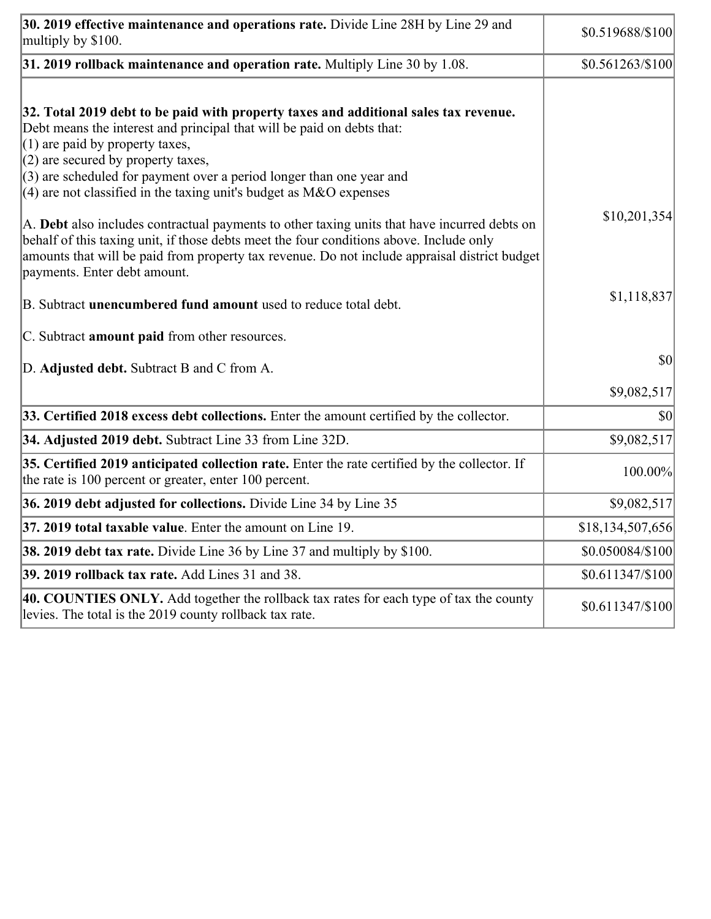| 30. 2019 effective maintenance and operations rate. Divide Line 28H by Line 29 and<br>multiply by \$100.                                                                                                                                                                                                                                                                                                                                                                                                                                                                                                                                                                                                                  | \$0.519688/\$100  |
|---------------------------------------------------------------------------------------------------------------------------------------------------------------------------------------------------------------------------------------------------------------------------------------------------------------------------------------------------------------------------------------------------------------------------------------------------------------------------------------------------------------------------------------------------------------------------------------------------------------------------------------------------------------------------------------------------------------------------|-------------------|
| $31.2019$ rollback maintenance and operation rate. Multiply Line 30 by 1.08.                                                                                                                                                                                                                                                                                                                                                                                                                                                                                                                                                                                                                                              | \$0.561263/\$100  |
| 32. Total 2019 debt to be paid with property taxes and additional sales tax revenue.<br>Debt means the interest and principal that will be paid on debts that:<br>$(1)$ are paid by property taxes,<br>$(2)$ are secured by property taxes,<br>$(3)$ are scheduled for payment over a period longer than one year and<br>$(4)$ are not classified in the taxing unit's budget as M&O expenses<br>A. Debt also includes contractual payments to other taxing units that have incurred debts on<br>behalf of this taxing unit, if those debts meet the four conditions above. Include only<br>amounts that will be paid from property tax revenue. Do not include appraisal district budget<br>payments. Enter debt amount. | \$10,201,354      |
| B. Subtract unencumbered fund amount used to reduce total debt.                                                                                                                                                                                                                                                                                                                                                                                                                                                                                                                                                                                                                                                           | \$1,118,837       |
| C. Subtract amount paid from other resources.                                                                                                                                                                                                                                                                                                                                                                                                                                                                                                                                                                                                                                                                             |                   |
| D. Adjusted debt. Subtract B and C from A.                                                                                                                                                                                                                                                                                                                                                                                                                                                                                                                                                                                                                                                                                | \$0               |
|                                                                                                                                                                                                                                                                                                                                                                                                                                                                                                                                                                                                                                                                                                                           | \$9,082,517       |
| 33. Certified 2018 excess debt collections. Enter the amount certified by the collector.                                                                                                                                                                                                                                                                                                                                                                                                                                                                                                                                                                                                                                  | \$0               |
| 34. Adjusted 2019 debt. Subtract Line 33 from Line 32D.                                                                                                                                                                                                                                                                                                                                                                                                                                                                                                                                                                                                                                                                   | \$9,082,517       |
| 35. Certified 2019 anticipated collection rate. Enter the rate certified by the collector. If<br>the rate is 100 percent or greater, enter 100 percent.                                                                                                                                                                                                                                                                                                                                                                                                                                                                                                                                                                   | 100.00%           |
| 36. 2019 debt adjusted for collections. Divide Line 34 by Line 35                                                                                                                                                                                                                                                                                                                                                                                                                                                                                                                                                                                                                                                         | \$9,082,517       |
| 37. 2019 total taxable value. Enter the amount on Line 19.                                                                                                                                                                                                                                                                                                                                                                                                                                                                                                                                                                                                                                                                | \$18,134,507,656  |
| <b>38. 2019 debt tax rate.</b> Divide Line 36 by Line 37 and multiply by \$100.                                                                                                                                                                                                                                                                                                                                                                                                                                                                                                                                                                                                                                           | \$0.050084/\$100  |
| 39. 2019 rollback tax rate. Add Lines 31 and 38.                                                                                                                                                                                                                                                                                                                                                                                                                                                                                                                                                                                                                                                                          | \$0.611347/S100   |
| 40. COUNTIES ONLY. Add together the rollback tax rates for each type of tax the county<br>levies. The total is the 2019 county rollback tax rate.                                                                                                                                                                                                                                                                                                                                                                                                                                                                                                                                                                         | $$0.611347/\$100$ |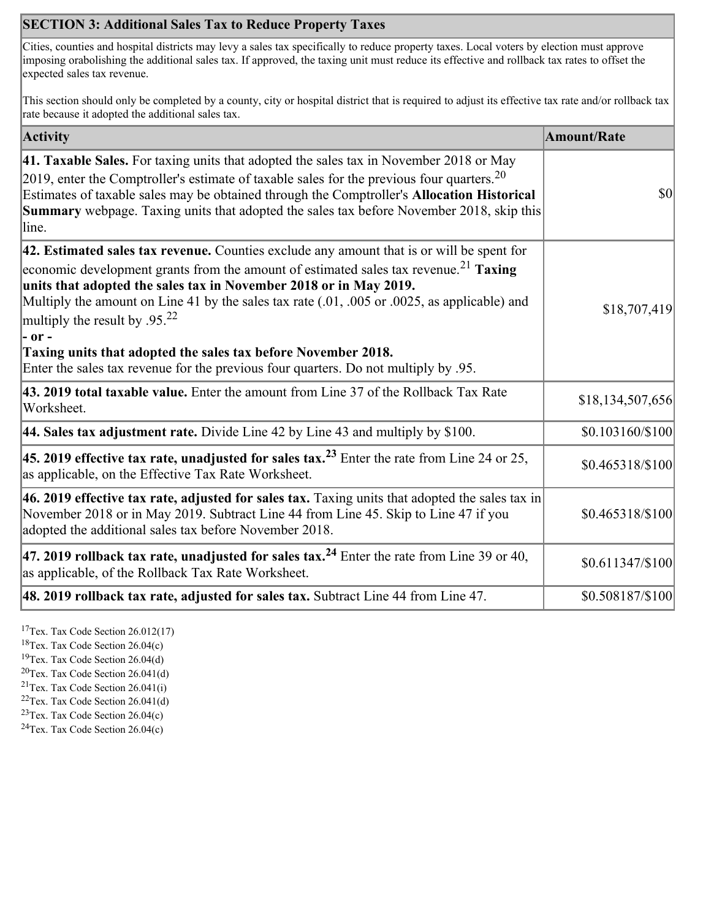# **SECTION 3: Additional Sales Tax to Reduce Property Taxes**

Cities, counties and hospital districts may levy a sales tax specifically to reduce property taxes. Local voters by election must approve imposing orabolishing the additional sales tax. If approved, the taxing unit must reduce its effective and rollback tax rates to offset the expected sales tax revenue.

This section should only be completed by a county, city or hospital district that is required to adjust its effective tax rate and/or rollback tax rate because it adopted the additional sales tax.

| <b>Activity</b>                                                                                                                                                                                                                                                                                                                                                                                                                                                                             | <b>Amount/Rate</b> |
|---------------------------------------------------------------------------------------------------------------------------------------------------------------------------------------------------------------------------------------------------------------------------------------------------------------------------------------------------------------------------------------------------------------------------------------------------------------------------------------------|--------------------|
| 41. Taxable Sales. For taxing units that adopted the sales tax in November 2018 or May<br>[2019, enter the Comptroller's estimate of taxable sales for the previous four quarters. <sup>20</sup><br>Estimates of taxable sales may be obtained through the Comptroller's Allocation Historical<br><b>Summary</b> webpage. Taxing units that adopted the sales tax before November 2018, skip this<br>line.                                                                                  | $\vert$ \$0        |
| 42. Estimated sales tax revenue. Counties exclude any amount that is or will be spent for<br>economic development grants from the amount of estimated sales tax revenue. <sup>21</sup> Taxing<br>units that adopted the sales tax in November 2018 or in May 2019.<br>Multiply the amount on Line 41 by the sales tax rate (.01, .005 or .0025, as applicable) and<br>multiply the result by .95. <sup>22</sup><br> - or -<br>Taxing units that adopted the sales tax before November 2018. | \$18,707,419       |
| Enter the sales tax revenue for the previous four quarters. Do not multiply by .95.<br>43. 2019 total taxable value. Enter the amount from Line 37 of the Rollback Tax Rate<br>Worksheet.                                                                                                                                                                                                                                                                                                   | \$18,134,507,656   |
| 44. Sales tax adjustment rate. Divide Line 42 by Line 43 and multiply by $$100$ .                                                                                                                                                                                                                                                                                                                                                                                                           | \$0.103160/\$100   |
| 45. 2019 effective tax rate, unadjusted for sales tax. <sup>23</sup> Enter the rate from Line 24 or 25,<br>as applicable, on the Effective Tax Rate Worksheet.                                                                                                                                                                                                                                                                                                                              | \$0.465318/\$100   |
| 46. 2019 effective tax rate, adjusted for sales tax. Taxing units that adopted the sales tax in<br>November 2018 or in May 2019. Subtract Line 44 from Line 45. Skip to Line 47 if you<br>adopted the additional sales tax before November 2018.                                                                                                                                                                                                                                            | \$0.465318/\$100   |
| 47. 2019 rollback tax rate, unadjusted for sales tax. <sup>24</sup> Enter the rate from Line 39 or 40,<br>as applicable, of the Rollback Tax Rate Worksheet.                                                                                                                                                                                                                                                                                                                                | \$0.611347/\$100   |
| 48. 2019 rollback tax rate, adjusted for sales tax. Subtract Line 44 from Line 47.                                                                                                                                                                                                                                                                                                                                                                                                          | \$0.508187/\$100   |

<sup>17</sup>Tex. Tax Code Section 26.012(17)

<sup>18</sup>Tex. Tax Code Section 26.04(c)

<sup>19</sup>Tex. Tax Code Section 26.04(d)

 $20$ Tex. Tax Code Section 26.041(d)

<sup>21</sup>Tex. Tax Code Section  $26.041(i)$ 

 $22$ Tex. Tax Code Section 26.041(d)

 $23$ Tex. Tax Code Section 26.04(c)  $24$ Tex. Tax Code Section 26.04(c)